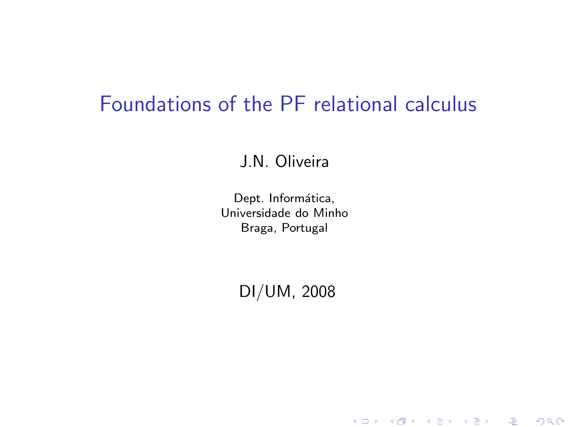## Foundations of the PF relational calculus

J.N. Oliveira

Dept. Informática, Universidade do Minho Braga, Portugal

DI/UM, 2008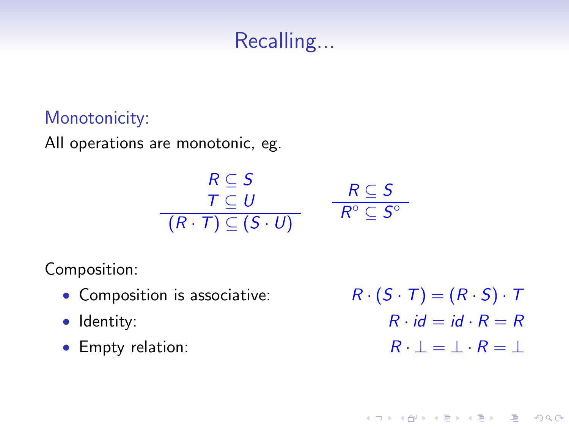## Recalling...

#### Monotonicity:

All operations are monotonic, eg.

$$
\begin{array}{ccc}\n & R \subseteq S \\
 & T \subseteq U \\
\hline\n & (R \cdot T) \subseteq (S \cdot U)\n\end{array}\n\qquad\n\begin{array}{ccc}\n & R \subseteq S \\
 & R^{\circ} \subseteq S^{\circ}\n\end{array}
$$

Composition:

- Composition is associative:  $R \cdot (S \cdot T) = (R \cdot S) \cdot T$
- 
- 

• Identity:  $R \cdot id = id \cdot R = R$ • Empty relation:  $R \cdot \bot = \bot \cdot R = \bot$ 

K ロ ▶ K @ ▶ K 할 > K 할 > N 할 → 9 Q Q\*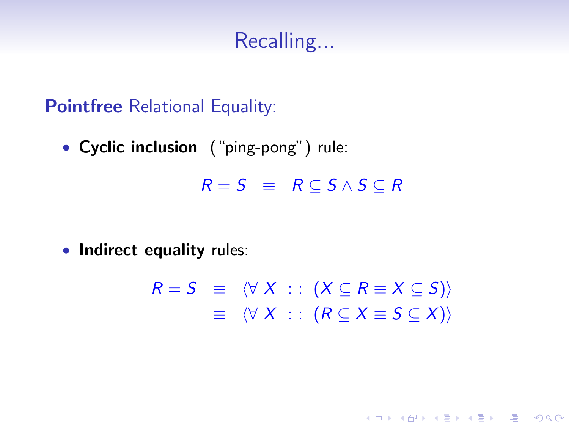## Recalling...

**Pointfree** Relational Equality:

• Cyclic inclusion ("ping-pong") rule:

 $R = S \equiv R \subset S \wedge S \subset R$ 

• Indirect equality rules:

 $R = S \equiv \langle \forall X : : (X \subseteq R \equiv X \subseteq S) \rangle$  $\equiv \langle \forall X : : (R \subseteq X \equiv S \subseteq X) \rangle$ 

**YO A REAR OF YOUR**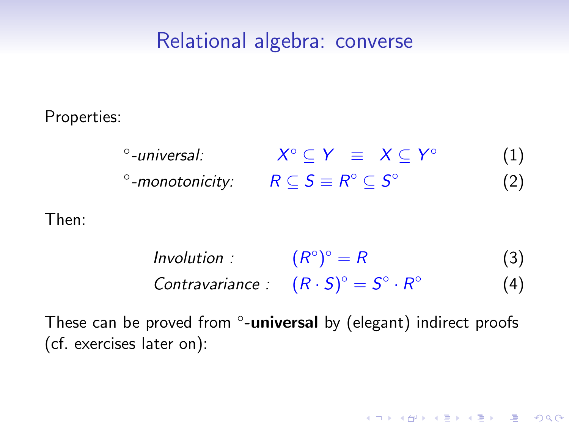### Relational algebra: converse

Properties:

◦ -universal: X  $\circ \subseteq Y \equiv X \subseteq Y^{\circ}$ (1)  $^{\circ}$ -monotonicity:  $R \subseteq S \equiv R^{\circ} \subseteq S^{\circ}$ (2)

Then:

Involution :  $(R^{\circ})^{\circ} = R$  (3) Contravariance :  $(R \cdot S)^{\circ} = S^{\circ} \cdot R^{\circ}$ (4)

**ADD 4 REPAIR AND A COA** 

These can be proved from °-universal by (elegant) indirect proofs (cf. exercises later on):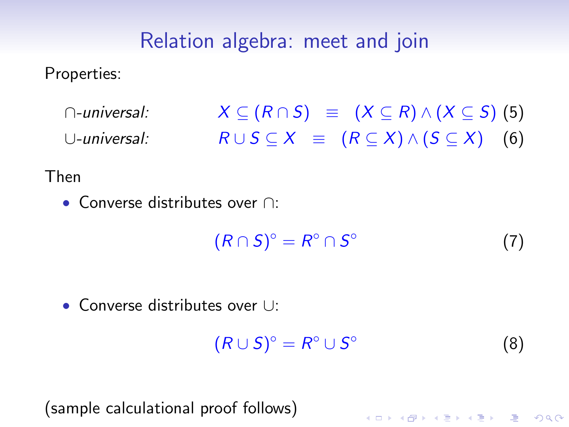## Relation algebra: meet and join

Properties:

 $\cap$ -universal:  $X \subseteq (R \cap S) \equiv (X \subseteq R) \wedge (X \subseteq S)$  (5) ∪-universal:  $R \cup S \subseteq X \equiv (R \subseteq X) \wedge (S \subseteq X)$  (6)

Then

• Converse distributes over ∩:

$$
(R \cap S)^{\circ} = R^{\circ} \cap S^{\circ} \tag{7}
$$

• Converse distributes over ∪:

 $(R\cup S)^{\circ}=R^{\circ}\cup S^{\circ}$ (8)

K ロ X K @ X K 할 X K 할 X ( 할 X ) 이익( V

(sample calculational proof follows)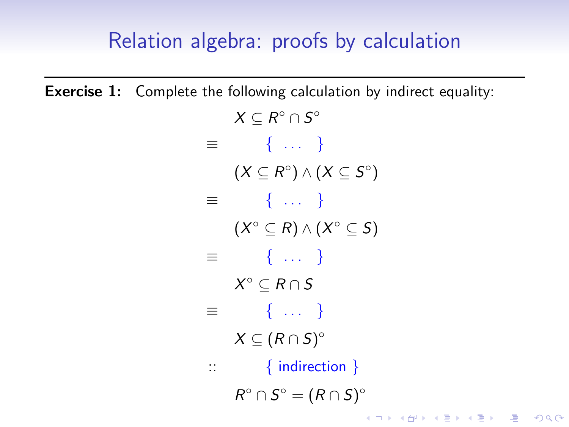## Relation algebra: proofs by calculation

**Exercise 1:** Complete the following calculation by indirect equality:

|          | $X \subseteq R^{\circ} \cap S^{\circ}$                   |
|----------|----------------------------------------------------------|
| ≡        | $\{ \dots \}$                                            |
|          | $(X \subseteq R^{\circ}) \wedge (X \subseteq S^{\circ})$ |
| $\equiv$ | $\{ \dots \}$                                            |
|          | $(X^{\circ} \subseteq R) \wedge (X^{\circ} \subseteq S)$ |
| 三        | $\{ \dots \}$                                            |
|          | $X^{\circ} \subseteq R \cap S$                           |
| $\equiv$ | $\{ \dots \}$                                            |
|          | $X \subseteq (R \cap S)^\circ$                           |
| ∷        | $\{$ indirection $\}$                                    |
|          | $R^{\circ} \cap S^{\circ} = (R \cap S)^{\circ}$          |
|          | K ㅁ ▶ K @ ▶ K 할 ▶ K 할 ▶ ( 할 ) X 9 Q @                    |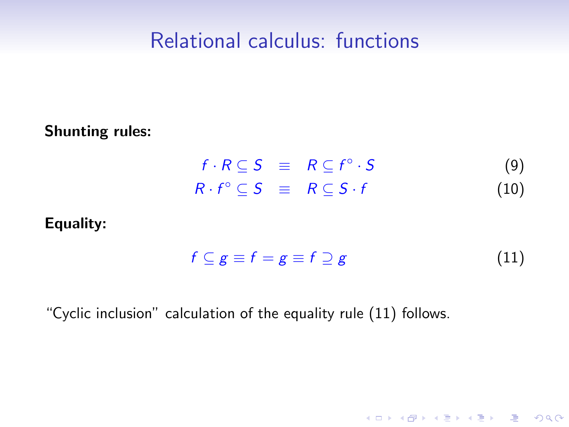### Relational calculus: functions

#### Shunting rules:

 $f \cdot R \subseteq S \equiv R \subseteq f^{\circ}$  $(9)$  $R \cdot f^{\circ} \subseteq S \equiv R \subseteq S \cdot f$  (10)

#### Equality:

<span id="page-6-0"></span>
$$
f \subseteq g \equiv f = g \equiv f \supseteq g \tag{11}
$$

K ロ ▶ K @ ▶ K 할 ▶ K 할 ▶ 그럴 → 이익(여

#### "Cyclic inclusion" calculation of the equality rule [\(11\)](#page-6-0) follows.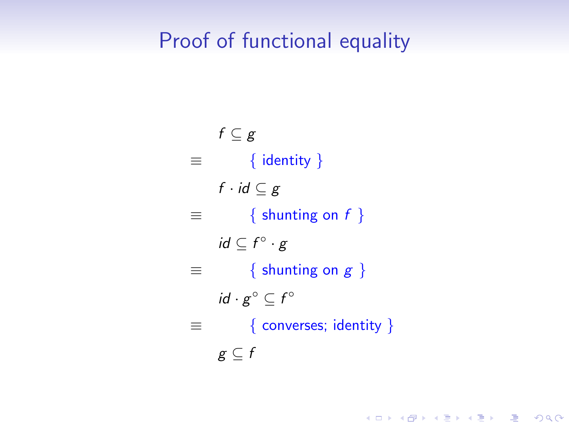## Proof of functional equality

$$
f \subseteq g
$$
\n
$$
\equiv \{ \text{identity } \}
$$
\n
$$
f \cdot id \subseteq g
$$
\n
$$
\equiv \{ \text{shunting on } f \}
$$
\n
$$
id \subseteq f^{\circ} \cdot g
$$
\n
$$
\equiv \{ \text{shunting on } g \}
$$
\n
$$
id \cdot g^{\circ} \subseteq f^{\circ}
$$
\n
$$
\equiv \{ \text{converses; identity } \}
$$
\n
$$
g \subseteq f
$$

K ロ ▶ K 레 ▶ K 코 ▶ K 코 ▶ 『코 │ ◆ 9 Q Q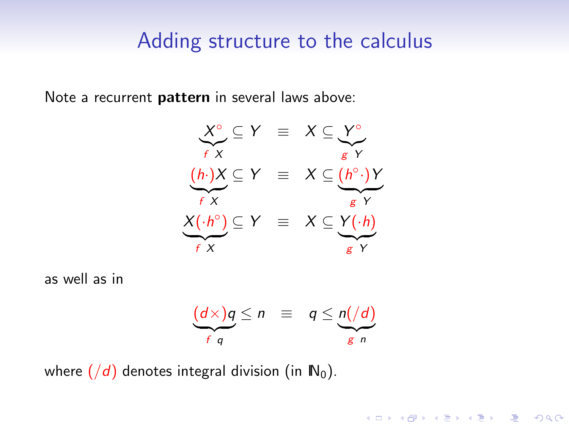#### Adding structure to the calculus

Note a recurrent pattern in several laws above:



as well as in



K ロ ▶ K @ ▶ K 할 > K 할 > N 할 → 9 Q Q\*

where  $(\overline{d})$  denotes integral division (in  $\mathbb{N}_0$ ).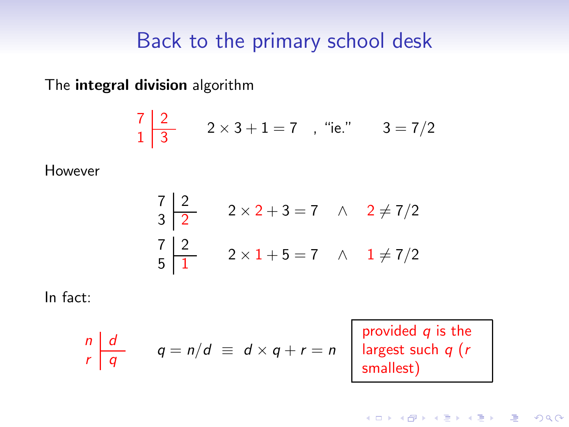## Back to the primary school desk

The integral division algorithm

$$
\begin{array}{c|cc}\n7 & 2 & 2 \times 3 + 1 = 7, \text{ "ie."} & 3 = 7/2\n\end{array}
$$

However

7 2 3 2 2 × 2 + 3 = 7 ∧ 2 6= 7/2 7 2 5 1 2 × 1 + 5 = 7 ∧ 1 6= 7/2

In fact:

$$
\begin{array}{c|c}\nn & d \\
r & q = n/d \equiv d \times q + r = n\n\end{array}
$$

provided *q* is the largest such q (r smallest)

K ロ ▶ K @ ▶ K 할 > K 할 > N 할 → 9 Q Q\*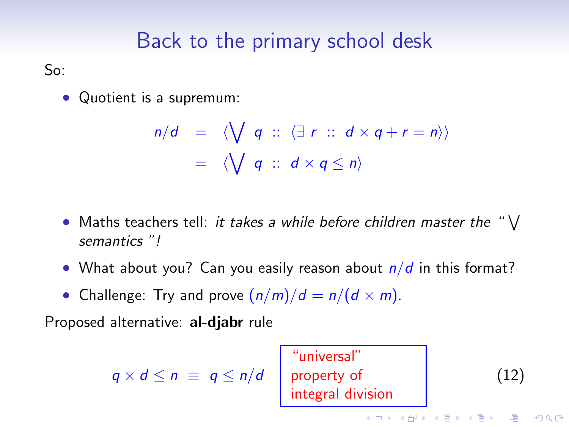## Back to the primary school desk

So:

• Quotient is a supremum:

$$
n/d = \langle \bigvee q :: \langle \exists r :: d \times q + r = n \rangle \rangle
$$
  
=  $\langle \bigvee q :: d \times q \le n \rangle$ 

- Maths teachers tell: it takes a while before children master the " $\vee$ semantics "!
- What about you? Can you easily reason about  $n/d$  in this format?
- Challenge: Try and prove  $\left(\frac{n}{m}\right)/d = \frac{n}{d \times m}$ .

Proposed alternative: al-djabr rule

<span id="page-10-0"></span>"universal" q × d ≤ n ≡ q ≤ n/d property of (12)integral division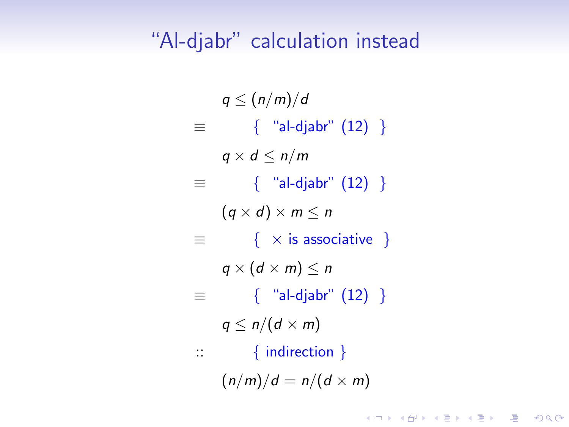#### "Al-djabr" calculation instead

 $q \leq (n/m)/d$  $\equiv$  { "al-djabr" [\(12\)](#page-10-0) }  $q \times d \leq n/m$  $\equiv$  { "al-djabr" [\(12\)](#page-10-0) }  $(q \times d) \times m \leq n$  $\equiv$  {  $\times$  is associative }  $q \times (d \times m) \leq n$  $\equiv$  { "al-djabr" [\(12\)](#page-10-0) }  $q \leq n/(d \times m)$ :: { indirection }  $(n/m)/d = n/(d \times m)$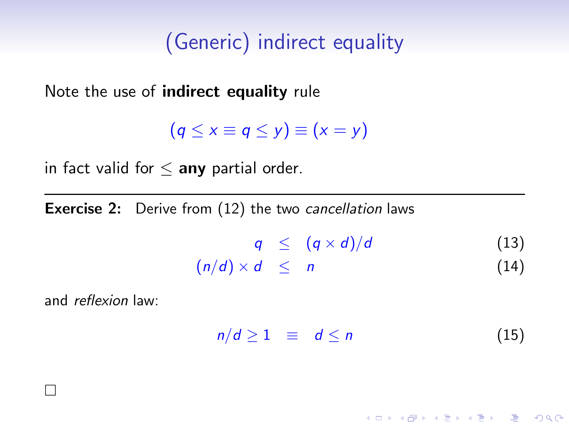## (Generic) indirect equality

Note the use of indirect equality rule

 $(q \le x \equiv q \le y) \equiv (x = y)$ 

in fact valid for  $\leq$  any partial order.

**Exercise 2:** Derive from [\(12\)](#page-10-0) the two cancellation laws

$$
q \leq (q \times d)/d \qquad (13)
$$

$$
(n/d) \times d \leq n \tag{14}
$$

and reflexion law:

 $\Box$ 

$$
n/d \geq 1 \equiv d \leq n \tag{15}
$$

**ADD 4 REPAIR AND A COA**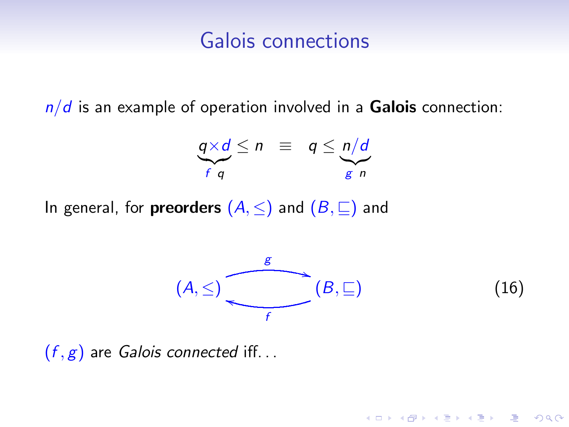### Galois connections

 $n/d$  is an example of operation involved in a Galois connection:

$$
\underbrace{q \times d}_{f \ q} \leq n \ \equiv \ q \leq \underbrace{n/d}_{g \ n}
$$

In general, for **preorders**  $(A, \leq)$  and  $(B, \sqsubseteq)$  and



K ロ X K @ X K 할 X K 할 X ( 할 X ) 이익( V

 $(f, g)$  are *Galois connected* iff...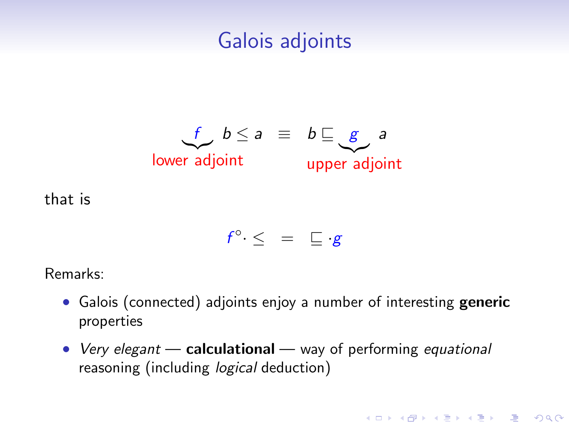## Galois adjoints



that is

$$
f^{\circ} \cdot \leq = \sqsubseteq g
$$

Remarks:

- Galois (connected) adjoints enjoy a number of interesting generic properties
- Very elegant calculational way of performing equational reasoning (including *logical* deduction)

**YO A REAR OF YOUR**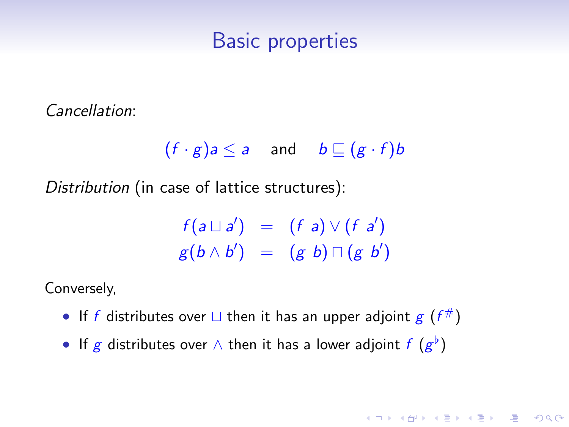#### Basic properties

Cancellation:

$$
(f \cdot g)a \le a
$$
 and  $b \sqsubseteq (g \cdot f)b$ 

Distribution (in case of lattice structures):

$$
f(a \sqcup a') = (f a) \vee (f a')g(b \wedge b') = (g b) \sqcap (g b')
$$

K ロ ▶ K @ ▶ K 할 > K 할 > N 할 → 9 Q Q\*

Conversely,

- If f distributes over  $\sqcup$  then it has an upper adjoint  $g(f^{\#})$
- If g distributes over  $\wedge$  then it has a lower adjoint  $f(g^{\flat})$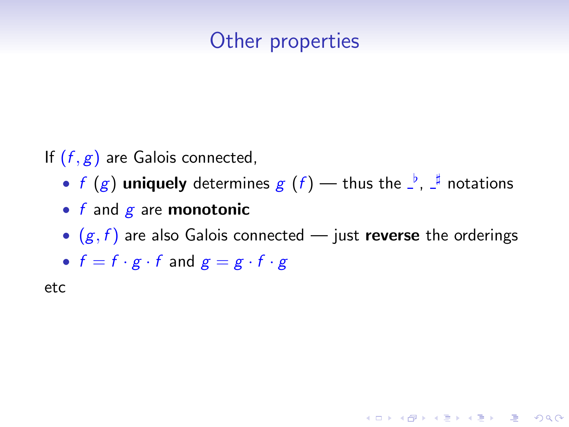## Other properties

If  $(f, g)$  are Galois connected,

- f  $(g)$  uniquely determines  $g(f)$  thus the  $\frac{1}{f}$ ,  $\frac{1}{f}$  notations
- $f$  and  $g$  are monotonic
- $(g, f)$  are also Galois connected just reverse the orderings

**ADD 4 REPAIR AND A COA** 

•  $f = f \cdot g \cdot f$  and  $g = g \cdot f \cdot g$ 

etc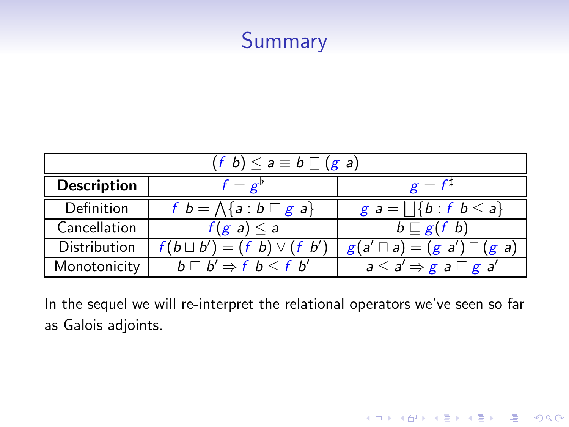## Summary

| $(f b) \leq a \equiv b \sqsubseteq (g a)$ |                                                |                                                                               |  |
|-------------------------------------------|------------------------------------------------|-------------------------------------------------------------------------------|--|
| <b>Description</b>                        | $f = g^p$                                      | $g = f^{\mu}$                                                                 |  |
| Definition                                | f $b = \Lambda\{a : b \sqsubseteq g\}$         | $g a =   \{b : f b \leq a\}$                                                  |  |
| Cancellation                              | $f(g \; a) \leq a$                             | $b \sqsubseteq g(f \; b)$                                                     |  |
| Distribution                              | $f(b \sqcup b') = (f \; b) \vee (f \; b')$     | $g(a' \sqcap a) = (g \ a') \sqcap (g \ a)$                                    |  |
| Monotonicity                              | $b \sqsubset b' \Rightarrow f \ b \leq f \ b'$ | $\overline{a} \leq a' \Rightarrow g \overline{a} \sqsubseteq g \overline{a'}$ |  |

In the sequel we will re-interpret the relational operators we've seen so far as Galois adjoints.

K ロ ▶ K @ ▶ K 할 ▶ K 할 ▶ | 할 | X 9 Q @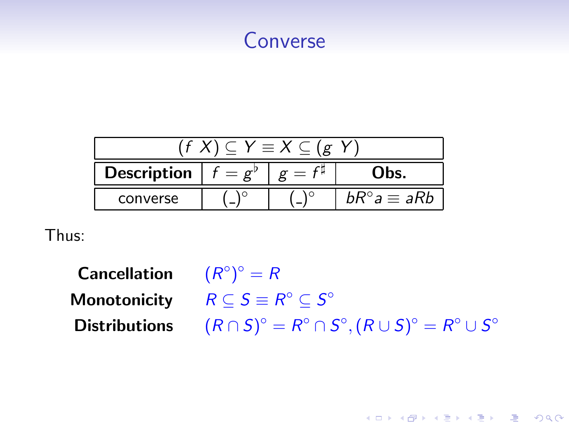

| $\subset Y \equiv X \subset (\mathfrak{g})$ |  |  |                          |
|---------------------------------------------|--|--|--------------------------|
| <b>Description</b>                          |  |  | lbs.                     |
| converse                                    |  |  | $bK^{\circ}a \equiv aRb$ |

Thus:

**Cancellation**  $^{\circ})^{\circ} = R$ Monotonicity  $R \subseteq S \equiv R^{\circ} \subseteq S^{\circ}$ Distributions  $\circ = R^{\circ} \cap S^{\circ}, (R \cup S)^{\circ} = R^{\circ} \cup S^{\circ}$ 

K ロ ▶ K @ ▶ K 할 ▶ K 할 ▶ 그럴 → 이익(여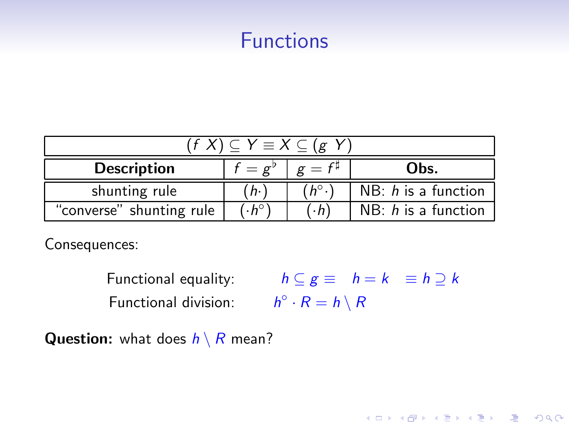## Functions

| $\overline{(f\ X)}\subseteq Y\equiv X\subseteq (g\ Y)$ |                 |               |                       |
|--------------------------------------------------------|-----------------|---------------|-----------------------|
| <b>Description</b>                                     | $f = \varrho^p$ | $g = f^{\mu}$ | Obs.                  |
| shunting rule                                          | $h \cdot$       | $h^{\circ}$ . | NB: $h$ is a function |
| "converse" shunting rule                               | $(A^{\circ})$   | $\cdot h$     | $NB: h$ is a function |

Consequences:

Functional equality:  $h \subseteq g \equiv h = k \equiv h \supseteq k$ Functional division:  $h^{\circ} \cdot R = h \setminus R$ 

K ロ ▶ K 레 ▶ K 코 ▶ K 코 ▶ 『코 │ ◆ 9 Q Q

**Question:** what does  $h \setminus R$  mean?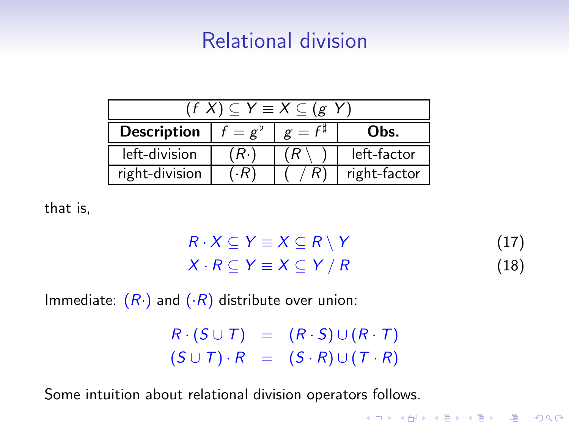## Relational division

| $(f X) \subset Y \equiv X \subset (g Y)$ |             |               |              |
|------------------------------------------|-------------|---------------|--------------|
| <b>Description</b>                       | $f = e^{v}$ | $g = f^{\mu}$ | Obs.         |
| left-division                            | (R.)        |               | left-factor  |
| right-division                           | R)          |               | right-factor |

that is,

$$
R \cdot X \subseteq Y \equiv X \subseteq R \setminus Y \tag{17}
$$
  

$$
X \cdot R \subseteq Y \equiv X \subseteq Y / R \tag{18}
$$

K ロ ▶ K 레 ▶ K 코 ▶ K 코 ▶ 『코 │ ◆ 9 Q Q ←

Immediate:  $(R \cdot)$  and  $(R)$  distribute over union:

 $R \cdot (S \cup T) = (R \cdot S) \cup (R \cdot T)$  $(S \cup T) \cdot R = (S \cdot R) \cup (T \cdot R)$ 

Some intuition about relational division operators follows.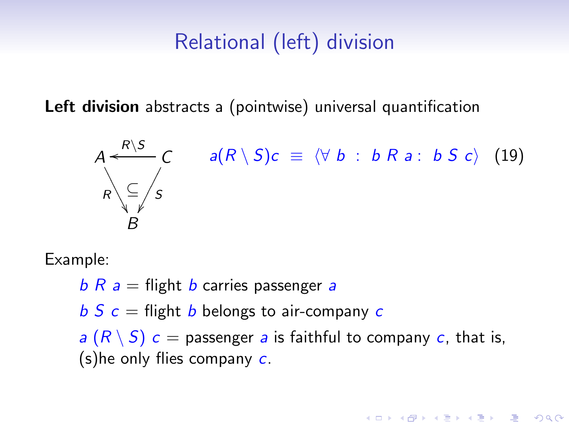## <span id="page-21-0"></span>Relational (left) division

Left division abstracts a (pointwise) universal quantification

$$
A \xleftarrow{R \setminus S} C \qquad a(R \setminus S)c \equiv \langle \forall b : b R a : b S c \rangle \tag{19}
$$
\n
$$
B \qquad B
$$

Example:

 $b R a$  = flight b carries passenger a  $b S c =$  flight b belongs to air-company c a  $(R \setminus S)$  c = passenger a is faithful to company c, that is,  $(s)$ he only flies company  $c$ .

**ADD 4 REPAIR AND A COA**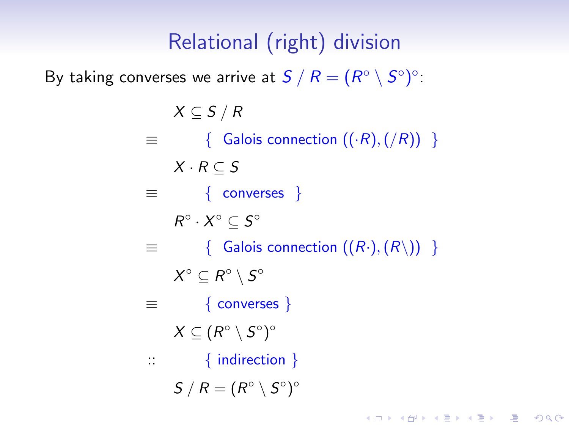## Relational (right) division

By taking converses we arrive at  $S \setminus R = (R^\circ \setminus S^\circ)^\circ$ :

 $X \subseteq S / R$  $\equiv$  { Galois connection  $((\cdot R), (\sqrt{R}))$  }  $X \cdot R \subset S$  $\equiv$  { converses }  $R^{\circ} \cdot X^{\circ} \subseteq S^{\circ}$  $\equiv$  { Galois connection  $((R\cdot), (R\setminus))$  }  $X^{\circ} \subseteq R^{\circ} \setminus S^{\circ}$  $\equiv$  { converses }  $X \subseteq (R^{\circ} \setminus S^{\circ})^{\circ}$ :: { indirection }  $S/R = (R^{\circ} \setminus S^{\circ})^{\circ}$ 

**YO A REAR OF YOUR**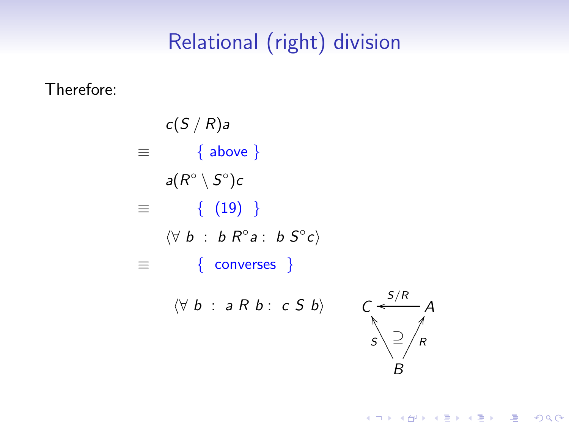# Relational (right) division

Therefore:

 $c(S/R)a$  $\equiv$  { above }  $a(R^{\circ} \setminus S^{\circ})c$  $\equiv$  { [\(19\)](#page-21-0) }  $\langle \forall b : b R^{\circ} a : b S^{\circ} c \rangle$  $\equiv$  { converses }  $\langle \forall b : a R b : c S b \rangle$ 

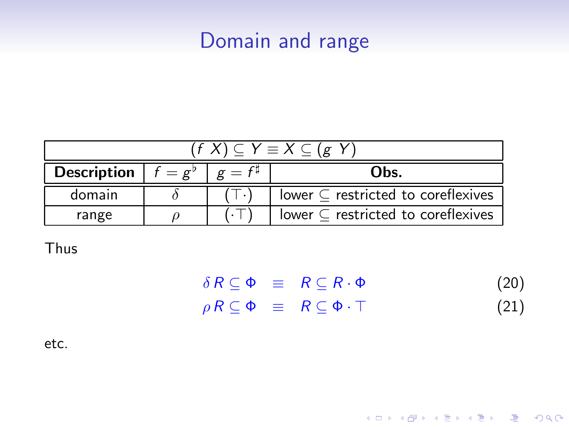## Domain and range

| $0 \subset Y \equiv X \subset (g)$ |                                                   |  |                                            |  |
|------------------------------------|---------------------------------------------------|--|--------------------------------------------|--|
| <b>Description</b>                 | $f = \varrho^p \mid \varrho = f^{\sharp}$<br>Obs. |  |                                            |  |
| domain                             |                                                   |  | lower $\subset$ restricted to coreflexives |  |
| range                              |                                                   |  | lower $\subset$ restricted to coreflexives |  |

Thus

|  | $\delta R \subseteq \Phi \equiv R \subseteq R \cdot \Phi$  | (20) |
|--|------------------------------------------------------------|------|
|  | $\rho R \subseteq \Phi \equiv R \subseteq \Phi \cdot \top$ | (21) |

K ロ ▶ K @ ▶ K 할 ▶ K 할 ▶ ( 할 ) 1000

etc.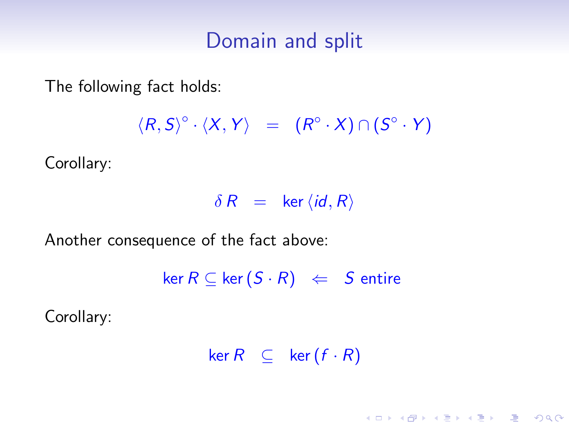#### Domain and split

The following fact holds:

 $\langle R, S \rangle^{\circ} \cdot \langle X, Y \rangle = (R^{\circ} \cdot X) \cap (S^{\circ} \cdot Y)$ 

Corollary:

 $\delta R$  = ker  $\langle id, R \rangle$ 

Another consequence of the fact above:

 $\ker R \subseteq \ker (S \cdot R) \iff S$  entire

Corollary:

 $ker R \subseteq ker (f \cdot R)$ 

**YO A REAR OF YOUR**